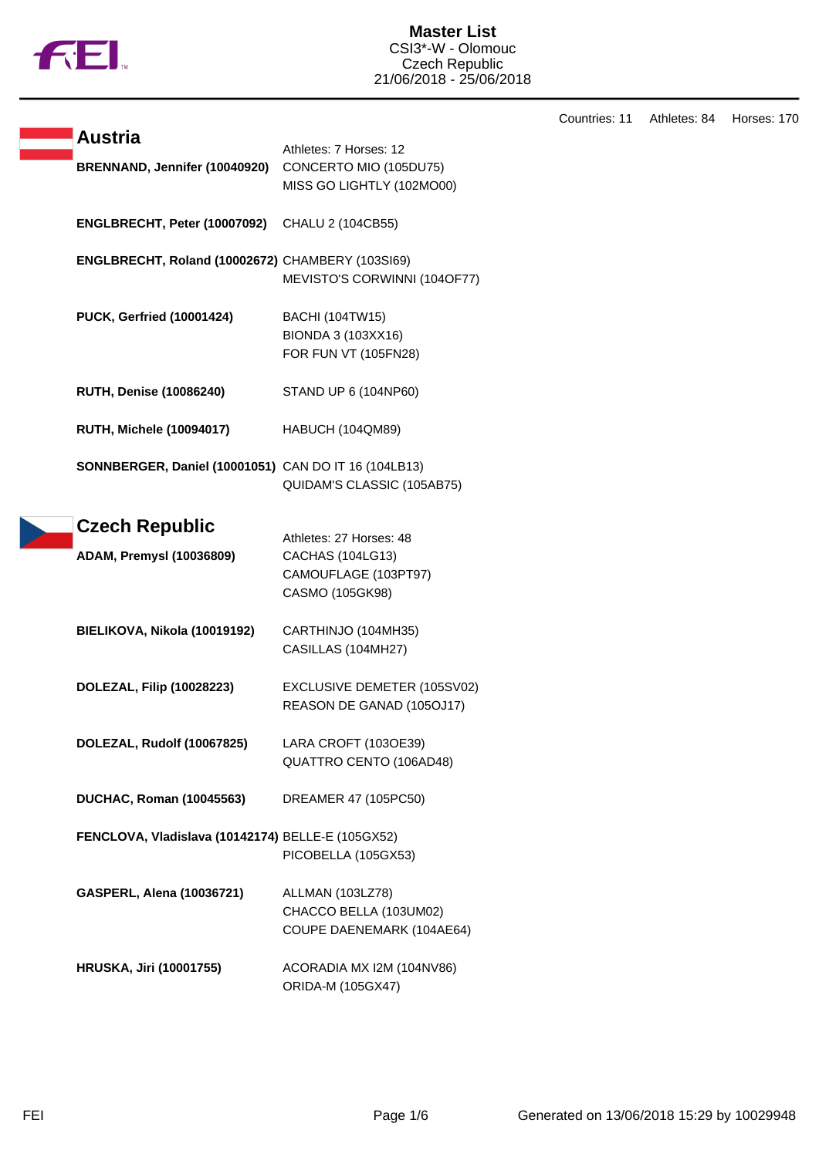

## **Master List** CSI3\*-W - Olomouc Czech Republic 21/06/2018 - 25/06/2018

Countries: 11 Athletes: 84 Horses: 170

| <b>Austria</b>                                       | Athletes: 7 Horses: 12                                                                        |
|------------------------------------------------------|-----------------------------------------------------------------------------------------------|
| BRENNAND, Jennifer (10040920)                        | CONCERTO MIO (105DU75)<br>MISS GO LIGHTLY (102MO00)                                           |
| ENGLBRECHT, Peter (10007092)                         | CHALU 2 (104CB55)                                                                             |
| ENGLBRECHT, Roland (10002672) CHAMBERY (103SI69)     | MEVISTO'S CORWINNI (104OF77)                                                                  |
| <b>PUCK, Gerfried (10001424)</b>                     | <b>BACHI (104TW15)</b><br>BIONDA 3 (103XX16)<br>FOR FUN VT (105FN28)                          |
| <b>RUTH, Denise (10086240)</b>                       | STAND UP 6 (104NP60)                                                                          |
| <b>RUTH, Michele (10094017)</b>                      | HABUCH (104QM89)                                                                              |
| SONNBERGER, Daniel (10001051) CAN DO IT 16 (104LB13) | QUIDAM'S CLASSIC (105AB75)                                                                    |
| <b>Czech Republic</b>                                |                                                                                               |
| <b>ADAM, Premysl (10036809)</b>                      | Athletes: 27 Horses: 48<br><b>CACHAS (104LG13)</b><br>CAMOUFLAGE (103PT97)<br>CASMO (105GK98) |
| BIELIKOVA, Nikola (10019192)                         | CARTHINJO (104MH35)<br>CASILLAS (104MH27)                                                     |
| DOLEZAL, Filip (10028223)                            | EXCLUSIVE DEMETER (105SV02)<br>REASON DE GANAD (105OJ17)                                      |
| DOLEZAL, Rudolf (10067825)                           | LARA CROFT (103OE39)<br>QUATTRO CENTO (106AD48)                                               |
| <b>DUCHAC, Roman (10045563)</b>                      | DREAMER 47 (105PC50)                                                                          |
| FENCLOVA, Vladislava (10142174) BELLE-E (105GX52)    | PICOBELLA (105GX53)                                                                           |
| GASPERL, Alena (10036721)                            | ALLMAN (103LZ78)<br>CHACCO BELLA (103UM02)<br>COUPE DAENEMARK (104AE64)                       |
| <b>HRUSKA, Jiri (10001755)</b>                       | ACORADIA MX I2M (104NV86)<br>ORIDA-M (105GX47)                                                |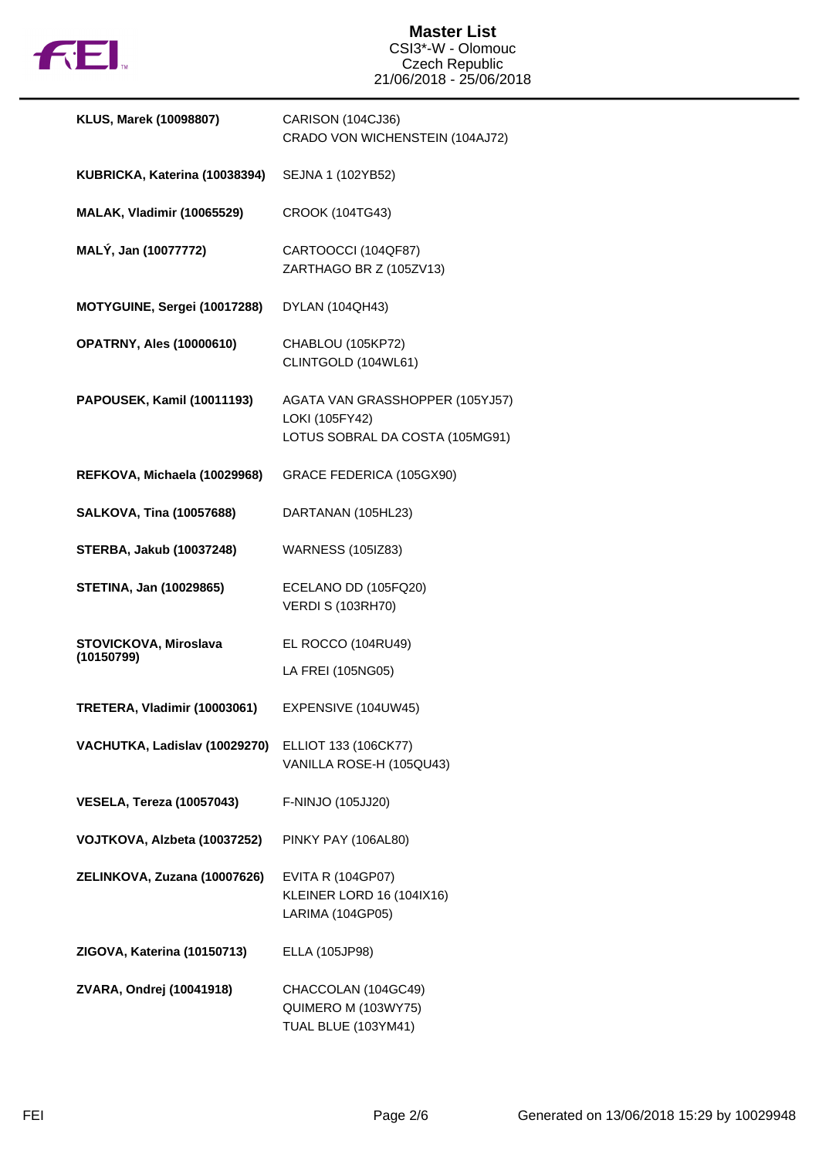

## **Master List** CSI3\*-W - Olomouc Czech Republic 21/06/2018 - 25/06/2018

| KLUS, Marek (10098807)              | CARISON (104CJ36)<br>CRADO VON WICHENSTEIN (104AJ72)                                 |
|-------------------------------------|--------------------------------------------------------------------------------------|
| KUBRICKA, Katerina (10038394)       | SEJNA 1 (102YB52)                                                                    |
| <b>MALAK, Vladimir (10065529)</b>   | CROOK (104TG43)                                                                      |
| MALÝ, Jan (10077772)                | CARTOOCCI (104QF87)<br>ZARTHAGO BR Z (105ZV13)                                       |
| MOTYGUINE, Sergei (10017288)        | DYLAN (104QH43)                                                                      |
| <b>OPATRNY, Ales (10000610)</b>     | CHABLOU (105KP72)<br>CLINTGOLD (104WL61)                                             |
| PAPOUSEK, Kamil (10011193)          | AGATA VAN GRASSHOPPER (105YJ57)<br>LOKI (105FY42)<br>LOTUS SOBRAL DA COSTA (105MG91) |
| REFKOVA, Michaela (10029968)        | GRACE FEDERICA (105GX90)                                                             |
| <b>SALKOVA, Tina (10057688)</b>     | DARTANAN (105HL23)                                                                   |
| <b>STERBA, Jakub (10037248)</b>     | <b>WARNESS (105IZ83)</b>                                                             |
| <b>STETINA, Jan (10029865)</b>      | ECELANO DD (105FQ20)<br><b>VERDI S (103RH70)</b>                                     |
| STOVICKOVA, Miroslava<br>(10150799) | EL ROCCO (104RU49)                                                                   |
|                                     | LA FREI (105NG05)                                                                    |
| TRETERA, Vladimir (10003061)        | EXPENSIVE (104UW45)                                                                  |
| VACHUTKA, Ladislav (10029270)       | ELLIOT 133 (106CK77)<br>VANILLA ROSE-H (105QU43)                                     |
| <b>VESELA, Tereza (10057043)</b>    | F-NINJO (105JJ20)                                                                    |
| VOJTKOVA, Alzbeta (10037252)        | PINKY PAY (106AL80)                                                                  |
| ZELINKOVA, Zuzana (10007626)        | <b>EVITA R (104GP07)</b><br>KLEINER LORD 16 (104IX16)<br>LARIMA (104GP05)            |
| ZIGOVA, Katerina (10150713)         | ELLA (105JP98)                                                                       |
| ZVARA, Ondrej (10041918)            | CHACCOLAN (104GC49)<br>QUIMERO M (103WY75)<br>TUAL BLUE (103YM41)                    |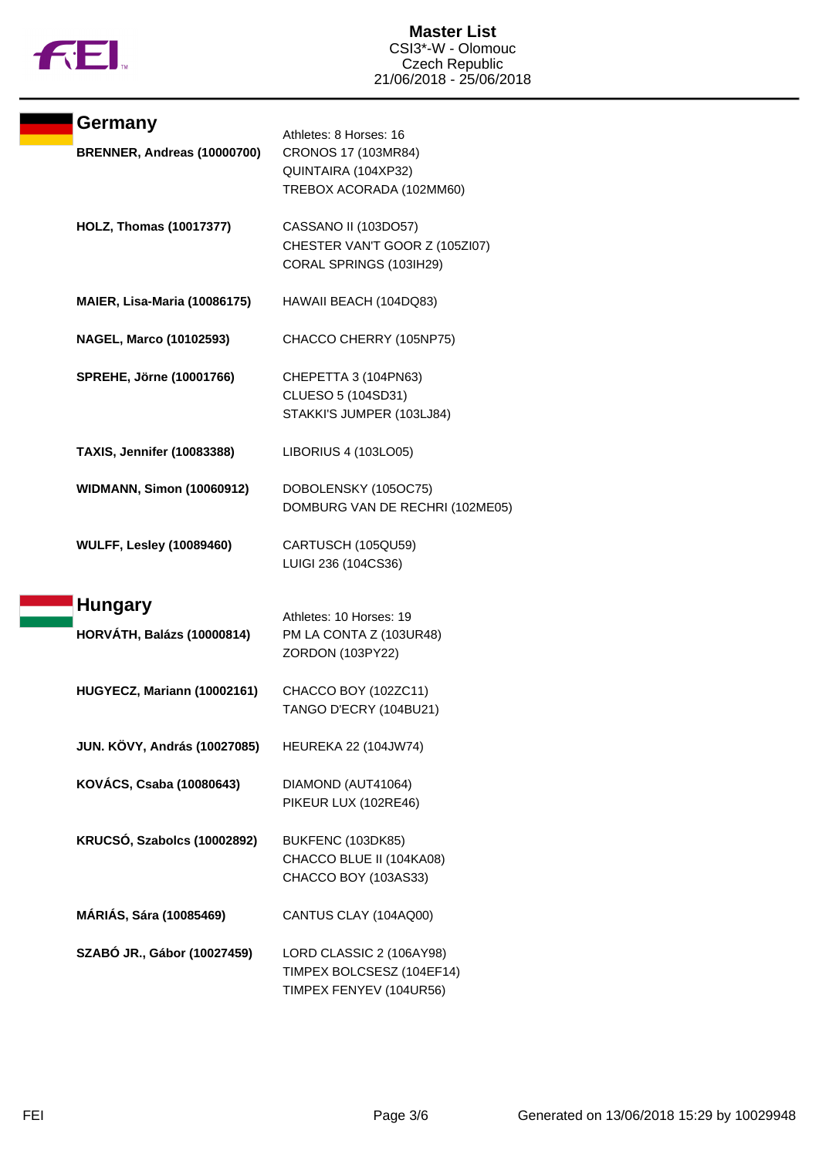

| Germany<br>BRENNER, Andreas (10000700) | Athletes: 8 Horses: 16<br>CRONOS 17 (103MR84)                                     |
|----------------------------------------|-----------------------------------------------------------------------------------|
|                                        | QUINTAIRA (104XP32)<br>TREBOX ACORADA (102MM60)                                   |
| <b>HOLZ, Thomas (10017377)</b>         | CASSANO II (103DO57)<br>CHESTER VAN'T GOOR Z (105ZI07)<br>CORAL SPRINGS (103IH29) |
| <b>MAIER, Lisa-Maria (10086175)</b>    | HAWAII BEACH (104DQ83)                                                            |
| <b>NAGEL, Marco (10102593)</b>         | CHACCO CHERRY (105NP75)                                                           |
| <b>SPREHE, Jörne (10001766)</b>        | CHEPETTA 3 (104PN63)<br>CLUESO 5 (104SD31)<br>STAKKI'S JUMPER (103LJ84)           |
| <b>TAXIS, Jennifer (10083388)</b>      | LIBORIUS 4 (103LO05)                                                              |
| <b>WIDMANN, Simon (10060912)</b>       | DOBOLENSKY (105OC75)<br>DOMBURG VAN DE RECHRI (102ME05)                           |
| <b>WULFF, Lesley (10089460)</b>        | CARTUSCH (105QU59)<br>LUIGI 236 (104CS36)                                         |
| <b>Hungary</b>                         |                                                                                   |
| <b>HORVÁTH, Balázs (10000814)</b>      | Athletes: 10 Horses: 19<br>PM LA CONTA Z (103UR48)<br>ZORDON (103PY22)            |
| HUGYECZ, Mariann (10002161)            | CHACCO BOY (102ZC11)<br>TANGO D'ECRY (104BU21)                                    |
| <b>JUN. KÖVY, András (10027085)</b>    | <b>HEUREKA 22 (104JW74)</b>                                                       |
| KOVÁCS, Csaba (10080643)               | DIAMOND (AUT41064)<br>PIKEUR LUX (102RE46)                                        |
| KRUCSÓ, Szabolcs (10002892)            | BUKFENC (103DK85)<br>CHACCO BLUE II (104KA08)<br>CHACCO BOY (103AS33)             |
| MÁRIÁS, Sára (10085469)                | CANTUS CLAY (104AQ00)                                                             |
| SZABÓ JR., Gábor (10027459)            | LORD CLASSIC 2 (106AY98)<br>TIMPEX BOLCSESZ (104EF14)<br>TIMPEX FENYEV (104UR56)  |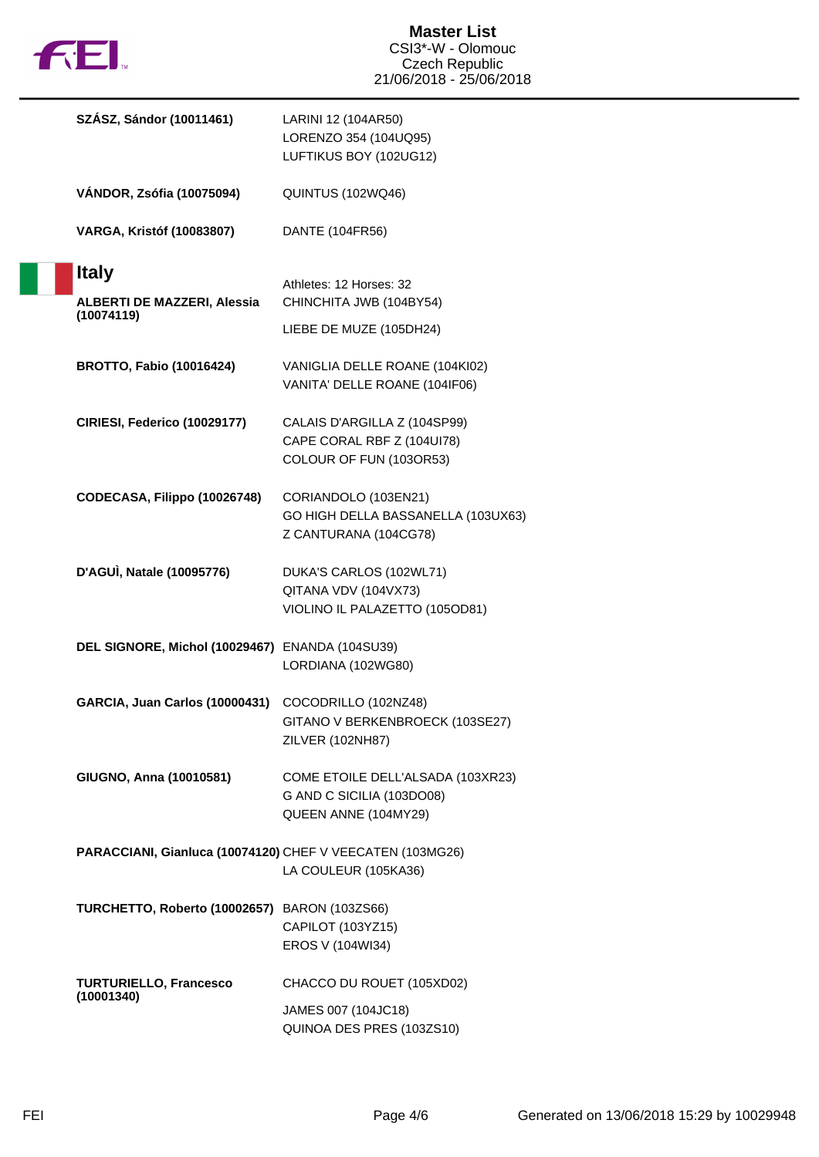

П

| SZÁSZ, Sándor (10011461)                                         | LARINI 12 (104AR50)<br>LORENZO 354 (104UQ95)<br>LUFTIKUS BOY (102UG12)                 |
|------------------------------------------------------------------|----------------------------------------------------------------------------------------|
| VÁNDOR, Zsófia (10075094)                                        | QUINTUS (102WQ46)                                                                      |
| <b>VARGA, Kristóf (10083807)</b>                                 | DANTE (104FR56)                                                                        |
| <b>Italy</b><br><b>ALBERTI DE MAZZERI, Alessia</b><br>(10074119) | Athletes: 12 Horses: 32<br>CHINCHITA JWB (104BY54)                                     |
|                                                                  | LIEBE DE MUZE (105DH24)                                                                |
| <b>BROTTO, Fabio (10016424)</b>                                  | VANIGLIA DELLE ROANE (104KI02)<br>VANITA' DELLE ROANE (104IF06)                        |
| CIRIESI, Federico (10029177)                                     | CALAIS D'ARGILLA Z (104SP99)<br>CAPE CORAL RBF Z (104UI78)<br>COLOUR OF FUN (103OR53)  |
| CODECASA, Filippo (10026748)                                     | CORIANDOLO (103EN21)<br>GO HIGH DELLA BASSANELLA (103UX63)<br>Z CANTURANA (104CG78)    |
| D'AGUÌ, Natale (10095776)                                        | DUKA'S CARLOS (102WL71)<br>QITANA VDV (104VX73)<br>VIOLINO IL PALAZETTO (105OD81)      |
| DEL SIGNORE, Michol (10029467) ENANDA (104SU39)                  | LORDIANA (102WG80)                                                                     |
| GARCIA, Juan Carlos (10000431)                                   | COCODRILLO (102NZ48)<br>GITANO V BERKENBROECK (103SE27)<br>ZILVER (102NH87)            |
| GIUGNO, Anna (10010581)                                          | COME ETOILE DELL'ALSADA (103XR23)<br>G AND C SICILIA (103DO08)<br>QUEEN ANNE (104MY29) |
| PARACCIANI, Gianluca (10074120) CHEF V VEECATEN (103MG26)        | LA COULEUR (105KA36)                                                                   |
| TURCHETTO, Roberto (10002657) BARON (103ZS66)                    | CAPILOT (103YZ15)<br>EROS V (104WI34)                                                  |
| <b>TURTURIELLO, Francesco</b><br>(10001340)                      | CHACCO DU ROUET (105XD02)                                                              |
|                                                                  | JAMES 007 (104JC18)<br>QUINOA DES PRES (103ZS10)                                       |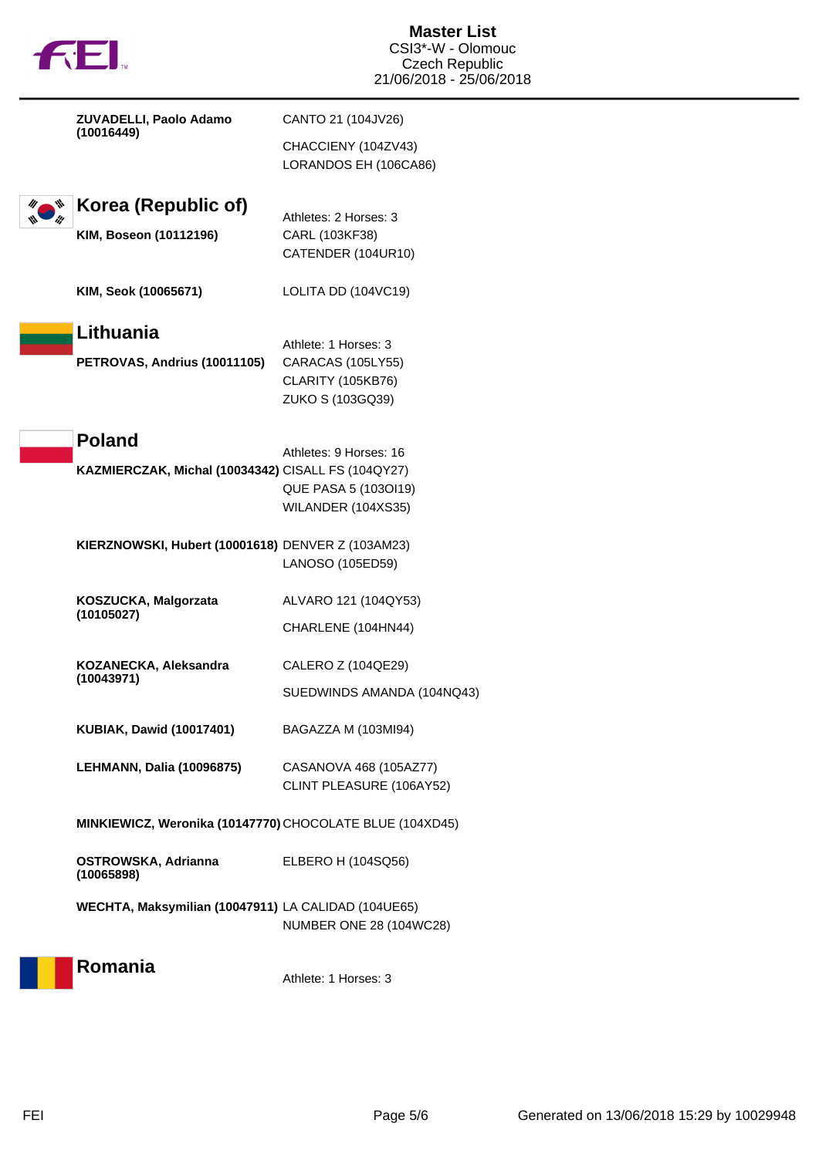|  | fill.                                                    | <b>Master List</b><br>CSI3*-W - Olomouc<br><b>Czech Republic</b><br>21/06/2018 - 25/06/2018 |
|--|----------------------------------------------------------|---------------------------------------------------------------------------------------------|
|  | ZUVADELLI, Paolo Adamo<br>(10016449)                     | CANTO 21 (104JV26)                                                                          |
|  |                                                          | CHACCIENY (104ZV43)<br>LORANDOS EH (106CA86)                                                |
|  | Korea (Republic of)                                      | Athletes: 2 Horses: 3                                                                       |
|  | KIM, Boseon (10112196)                                   | CARL (103KF38)<br>CATENDER (104UR10)                                                        |
|  | KIM, Seok (10065671)                                     | LOLITA DD (104VC19)                                                                         |
|  | Lithuania                                                | Athlete: 1 Horses: 3                                                                        |
|  | PETROVAS, Andrius (10011105)                             | CARACAS (105LY55)                                                                           |
|  |                                                          | <b>CLARITY (105KB76)</b>                                                                    |
|  |                                                          | ZUKO S (103GQ39)                                                                            |
|  | <b>Poland</b>                                            |                                                                                             |
|  |                                                          | Athletes: 9 Horses: 16                                                                      |
|  | KAZMIERCZAK, Michal (10034342) CISALL FS (104QY27)       |                                                                                             |
|  |                                                          | QUE PASA 5 (1030119)                                                                        |
|  |                                                          | WILANDER (104XS35)                                                                          |
|  | KIERZNOWSKI, Hubert (10001618) DENVER Z (103AM23)        |                                                                                             |
|  |                                                          | LANOSO (105ED59)                                                                            |
|  | KOSZUCKA, Malgorzata<br>(10105027)                       | ALVARO 121 (104QY53)                                                                        |
|  |                                                          | CHARLENE (104HN44)                                                                          |
|  | KOZANECKA, Aleksandra<br>(10043971)                      | CALERO Z (104QE29)                                                                          |
|  |                                                          | SUEDWINDS AMANDA (104NQ43)                                                                  |
|  | <b>KUBIAK, Dawid (10017401)</b>                          | BAGAZZA M (103MI94)                                                                         |
|  | <b>LEHMANN, Dalia (10096875)</b>                         | CASANOVA 468 (105AZ77)                                                                      |
|  |                                                          | CLINT PLEASURE (106AY52)                                                                    |
|  | MINKIEWICZ, Weronika (10147770) CHOCOLATE BLUE (104XD45) |                                                                                             |
|  | OSTROWSKA, Adrianna<br>(10065898)                        | ELBERO H (104SQ56)                                                                          |
|  | WECHTA, Maksymilian (10047911) LA CALIDAD (104UE65)      |                                                                                             |
|  |                                                          | <b>NUMBER ONE 28 (104WC28)</b>                                                              |
|  |                                                          |                                                                                             |
|  | Romania                                                  | Athlete: 1 Horses: 3                                                                        |